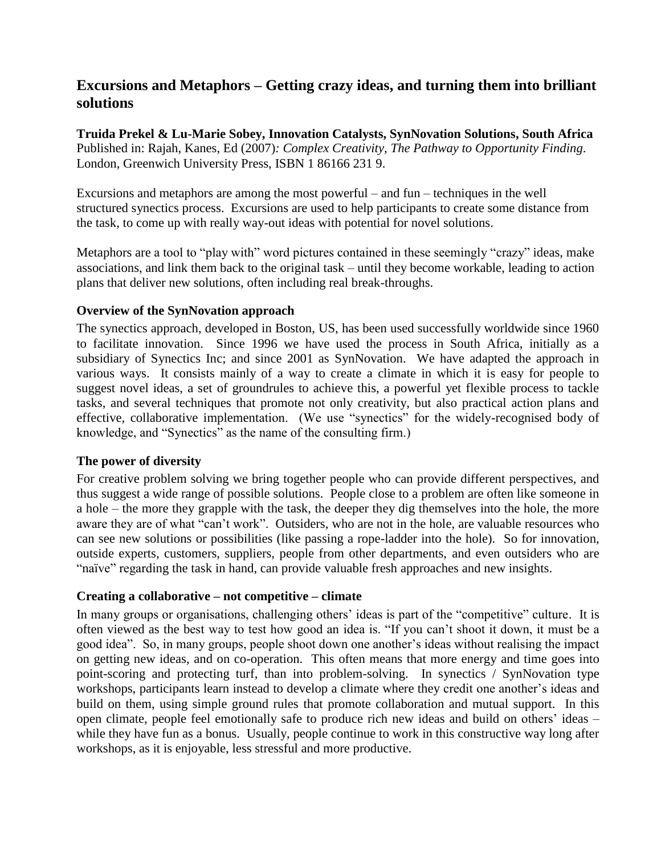# **Excursions and Metaphors – Getting crazy ideas, and turning them into brilliant solutions**

**Truida Prekel & Lu-Marie Sobey, Innovation Catalysts, SynNovation Solutions, South Africa** Published in: Rajah, Kanes, Ed (2007)*: Complex Creativity, The Pathway to Opportunity Finding*. London, Greenwich University Press, ISBN 1 86166 231 9.

Excursions and metaphors are among the most powerful – and fun – techniques in the well structured synectics process. Excursions are used to help participants to create some distance from the task, to come up with really way-out ideas with potential for novel solutions.

Metaphors are a tool to "play with" word pictures contained in these seemingly "crazy" ideas, make associations, and link them back to the original task – until they become workable, leading to action plans that deliver new solutions, often including real break-throughs.

### **Overview of the SynNovation approach**

The synectics approach, developed in Boston, US, has been used successfully worldwide since 1960 to facilitate innovation. Since 1996 we have used the process in South Africa, initially as a subsidiary of Synectics Inc; and since 2001 as SynNovation. We have adapted the approach in various ways. It consists mainly of a way to create a climate in which it is easy for people to suggest novel ideas, a set of groundrules to achieve this, a powerful yet flexible process to tackle tasks, and several techniques that promote not only creativity, but also practical action plans and effective, collaborative implementation. (We use "synectics" for the widely-recognised body of knowledge, and "Synectics" as the name of the consulting firm.)

### **The power of diversity**

For creative problem solving we bring together people who can provide different perspectives, and thus suggest a wide range of possible solutions. People close to a problem are often like someone in a hole – the more they grapple with the task, the deeper they dig themselves into the hole, the more aware they are of what "can't work". Outsiders, who are not in the hole, are valuable resources who can see new solutions or possibilities (like passing a rope-ladder into the hole). So for innovation, outside experts, customers, suppliers, people from other departments, and even outsiders who are "naïve" regarding the task in hand, can provide valuable fresh approaches and new insights.

### **Creating a collaborative – not competitive – climate**

In many groups or organisations, challenging others' ideas is part of the "competitive" culture. It is often viewed as the best way to test how good an idea is. "If you can't shoot it down, it must be a good idea". So, in many groups, people shoot down one another's ideas without realising the impact on getting new ideas, and on co-operation. This often means that more energy and time goes into point-scoring and protecting turf, than into problem-solving. In synectics / SynNovation type workshops, participants learn instead to develop a climate where they credit one another's ideas and build on them, using simple ground rules that promote collaboration and mutual support. In this open climate, people feel emotionally safe to produce rich new ideas and build on others' ideas – while they have fun as a bonus. Usually, people continue to work in this constructive way long after workshops, as it is enjoyable, less stressful and more productive.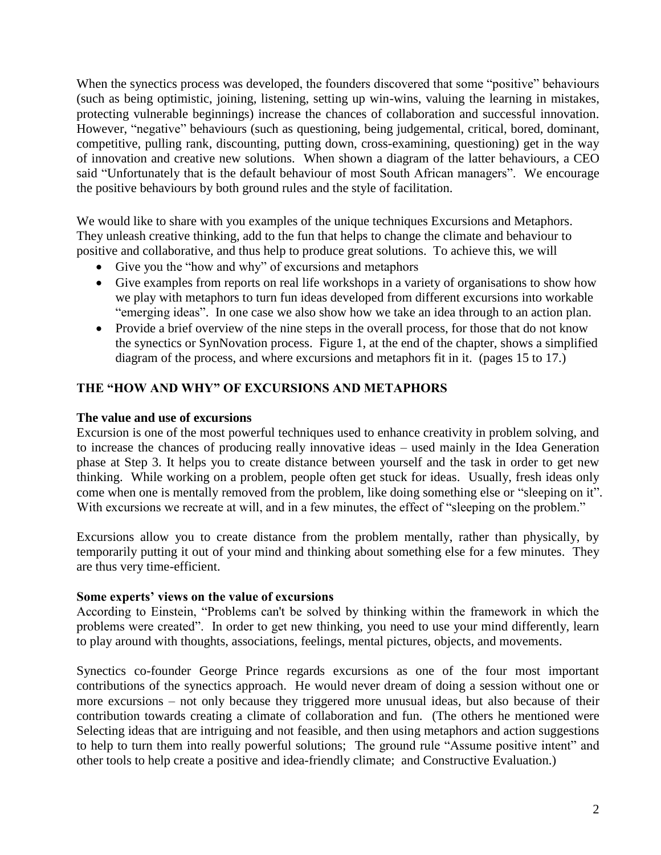When the synectics process was developed, the founders discovered that some "positive" behaviours (such as being optimistic, joining, listening, setting up win-wins, valuing the learning in mistakes, protecting vulnerable beginnings) increase the chances of collaboration and successful innovation. However, "negative" behaviours (such as questioning, being judgemental, critical, bored, dominant, competitive, pulling rank, discounting, putting down, cross-examining, questioning) get in the way of innovation and creative new solutions. When shown a diagram of the latter behaviours, a CEO said "Unfortunately that is the default behaviour of most South African managers". We encourage the positive behaviours by both ground rules and the style of facilitation.

We would like to share with you examples of the unique techniques Excursions and Metaphors. They unleash creative thinking, add to the fun that helps to change the climate and behaviour to positive and collaborative, and thus help to produce great solutions. To achieve this, we will

- Give you the "how and why" of excursions and metaphors
- Give examples from reports on real life workshops in a variety of organisations to show how we play with metaphors to turn fun ideas developed from different excursions into workable "emerging ideas". In one case we also show how we take an idea through to an action plan.
- Provide a brief overview of the nine steps in the overall process, for those that do not know the synectics or SynNovation process. Figure 1, at the end of the chapter, shows a simplified diagram of the process, and where excursions and metaphors fit in it. (pages 15 to 17.)

### **THE "HOW AND WHY" OF EXCURSIONS AND METAPHORS**

#### **The value and use of excursions**

Excursion is one of the most powerful techniques used to enhance creativity in problem solving, and to increase the chances of producing really innovative ideas – used mainly in the Idea Generation phase at Step 3. It helps you to create distance between yourself and the task in order to get new thinking. While working on a problem, people often get stuck for ideas. Usually, fresh ideas only come when one is mentally removed from the problem, like doing something else or "sleeping on it". With excursions we recreate at will, and in a few minutes, the effect of "sleeping on the problem."

Excursions allow you to create distance from the problem mentally, rather than physically, by temporarily putting it out of your mind and thinking about something else for a few minutes. They are thus very time-efficient.

#### **Some experts' views on the value of excursions**

According to Einstein, "Problems can't be solved by thinking within the framework in which the problems were created". In order to get new thinking, you need to use your mind differently, learn to play around with thoughts, associations, feelings, mental pictures, objects, and movements.

Synectics co-founder George Prince regards excursions as one of the four most important contributions of the synectics approach. He would never dream of doing a session without one or more excursions – not only because they triggered more unusual ideas, but also because of their contribution towards creating a climate of collaboration and fun. (The others he mentioned were Selecting ideas that are intriguing and not feasible, and then using metaphors and action suggestions to help to turn them into really powerful solutions; The ground rule "Assume positive intent" and other tools to help create a positive and idea-friendly climate; and Constructive Evaluation.)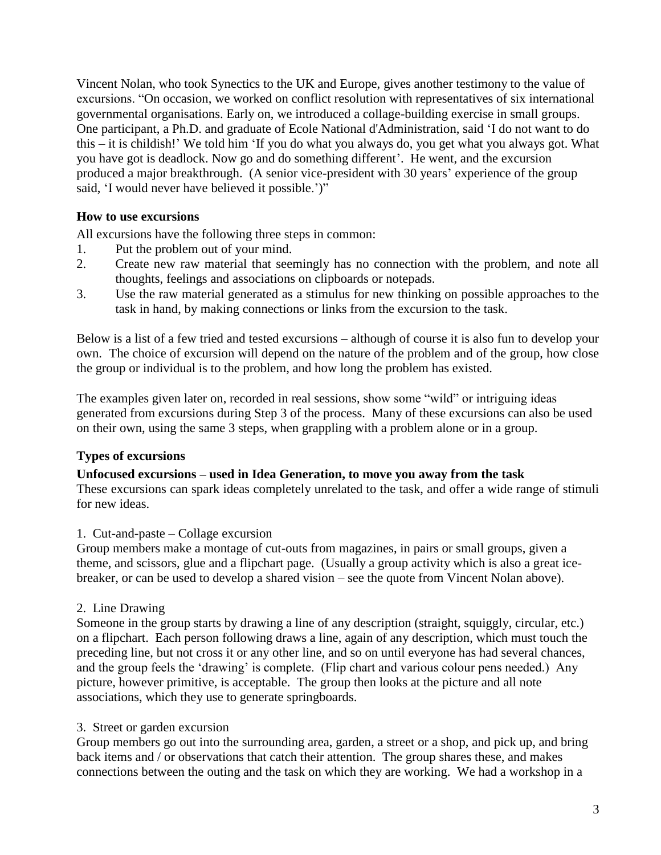Vincent Nolan, who took Synectics to the UK and Europe, gives another testimony to the value of excursions. "On occasion, we worked on conflict resolution with representatives of six international governmental organisations. Early on, we introduced a collage-building exercise in small groups. One participant, a Ph.D. and graduate of Ecole National d'Administration, said 'I do not want to do this – it is childish!' We told him 'If you do what you always do, you get what you always got. What you have got is deadlock. Now go and do something different'. He went, and the excursion produced a major breakthrough. (A senior vice-president with 30 years' experience of the group said, 'I would never have believed it possible.')"

### **How to use excursions**

All excursions have the following three steps in common:

- 1. Put the problem out of your mind.
- 2. Create new raw material that seemingly has no connection with the problem, and note all thoughts, feelings and associations on clipboards or notepads.
- 3. Use the raw material generated as a stimulus for new thinking on possible approaches to the task in hand, by making connections or links from the excursion to the task.

Below is a list of a few tried and tested excursions – although of course it is also fun to develop your own. The choice of excursion will depend on the nature of the problem and of the group, how close the group or individual is to the problem, and how long the problem has existed.

The examples given later on, recorded in real sessions, show some "wild" or intriguing ideas generated from excursions during Step 3 of the process. Many of these excursions can also be used on their own, using the same 3 steps, when grappling with a problem alone or in a group.

### **Types of excursions**

#### **Unfocused excursions – used in Idea Generation, to move you away from the task**

These excursions can spark ideas completely unrelated to the task, and offer a wide range of stimuli for new ideas.

### 1. Cut-and-paste – Collage excursion

Group members make a montage of cut-outs from magazines, in pairs or small groups, given a theme, and scissors, glue and a flipchart page. (Usually a group activity which is also a great icebreaker, or can be used to develop a shared vision – see the quote from Vincent Nolan above).

### 2. Line Drawing

Someone in the group starts by drawing a line of any description (straight, squiggly, circular, etc.) on a flipchart. Each person following draws a line, again of any description, which must touch the preceding line, but not cross it or any other line, and so on until everyone has had several chances, and the group feels the 'drawing' is complete. (Flip chart and various colour pens needed.) Any picture, however primitive, is acceptable. The group then looks at the picture and all note associations, which they use to generate springboards.

### 3. Street or garden excursion

Group members go out into the surrounding area, garden, a street or a shop, and pick up, and bring back items and / or observations that catch their attention. The group shares these, and makes connections between the outing and the task on which they are working. We had a workshop in a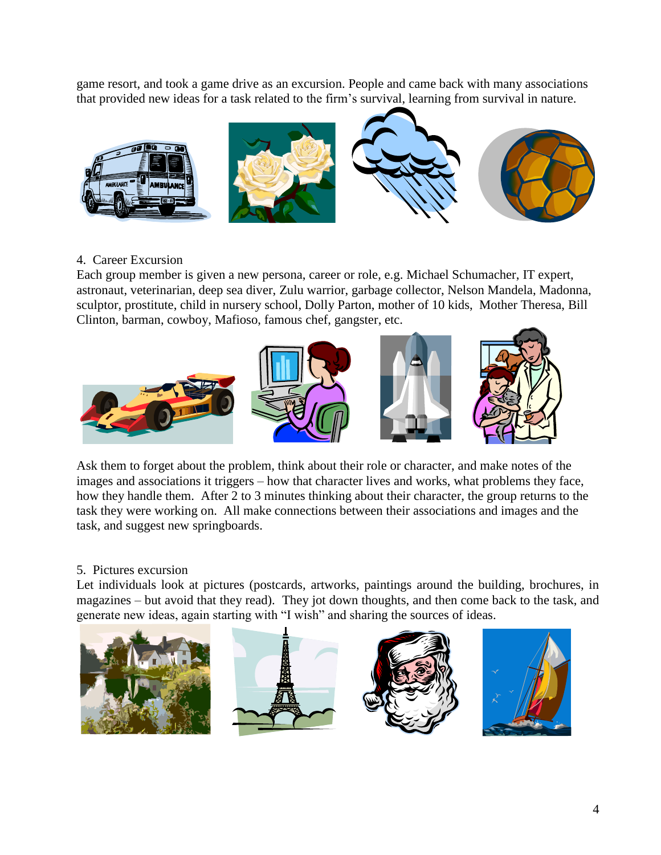game resort, and took a game drive as an excursion. People and came back with many associations that provided new ideas for a task related to the firm's survival, learning from survival in nature.



### 4. Career Excursion

Each group member is given a new persona, career or role, e.g. Michael Schumacher, IT expert, astronaut, veterinarian, deep sea diver, Zulu warrior, garbage collector, Nelson Mandela, Madonna, sculptor, prostitute, child in nursery school, Dolly Parton, mother of 10 kids, Mother Theresa, Bill Clinton, barman, cowboy, Mafioso, famous chef, gangster, etc.



Ask them to forget about the problem, think about their role or character, and make notes of the images and associations it triggers – how that character lives and works, what problems they face, how they handle them. After 2 to 3 minutes thinking about their character, the group returns to the task they were working on. All make connections between their associations and images and the task, and suggest new springboards.

# 5. Pictures excursion

Let individuals look at pictures (postcards, artworks, paintings around the building, brochures, in magazines – but avoid that they read). They jot down thoughts, and then come back to the task, and generate new ideas, again starting with "I wish" and sharing the sources of ideas.

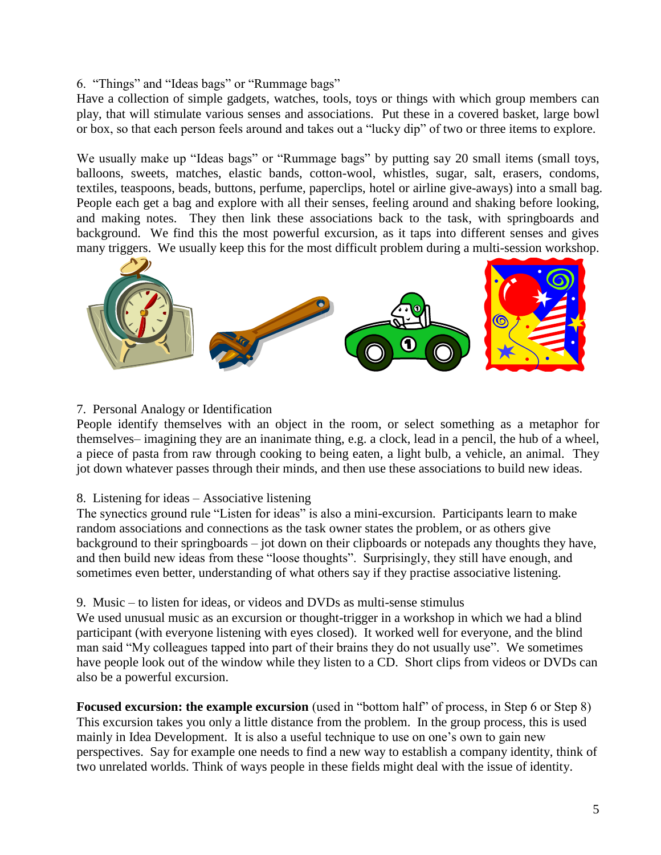### 6. "Things" and "Ideas bags" or "Rummage bags"

Have a collection of simple gadgets, watches, tools, toys or things with which group members can play, that will stimulate various senses and associations. Put these in a covered basket, large bowl or box, so that each person feels around and takes out a "lucky dip" of two or three items to explore.

We usually make up "Ideas bags" or "Rummage bags" by putting say 20 small items (small toys, balloons, sweets, matches, elastic bands, cotton-wool, whistles, sugar, salt, erasers, condoms, textiles, teaspoons, beads, buttons, perfume, paperclips, hotel or airline give-aways) into a small bag. People each get a bag and explore with all their senses, feeling around and shaking before looking, and making notes. They then link these associations back to the task, with springboards and background. We find this the most powerful excursion, as it taps into different senses and gives many triggers. We usually keep this for the most difficult problem during a multi-session workshop.



### 7. Personal Analogy or Identification

People identify themselves with an object in the room, or select something as a metaphor for themselves– imagining they are an inanimate thing, e.g. a clock, lead in a pencil, the hub of a wheel, a piece of pasta from raw through cooking to being eaten, a light bulb, a vehicle, an animal. They jot down whatever passes through their minds, and then use these associations to build new ideas.

#### 8. Listening for ideas – Associative listening

The synectics ground rule "Listen for ideas" is also a mini-excursion. Participants learn to make random associations and connections as the task owner states the problem, or as others give background to their springboards – jot down on their clipboards or notepads any thoughts they have, and then build new ideas from these "loose thoughts". Surprisingly, they still have enough, and sometimes even better, understanding of what others say if they practise associative listening.

#### 9. Music – to listen for ideas, or videos and DVDs as multi-sense stimulus

We used unusual music as an excursion or thought-trigger in a workshop in which we had a blind participant (with everyone listening with eyes closed). It worked well for everyone, and the blind man said "My colleagues tapped into part of their brains they do not usually use". We sometimes have people look out of the window while they listen to a CD. Short clips from videos or DVDs can also be a powerful excursion.

**Focused excursion: the example excursion** (used in "bottom half" of process, in Step 6 or Step 8) This excursion takes you only a little distance from the problem. In the group process, this is used mainly in Idea Development. It is also a useful technique to use on one's own to gain new perspectives. Say for example one needs to find a new way to establish a company identity, think of two unrelated worlds. Think of ways people in these fields might deal with the issue of identity.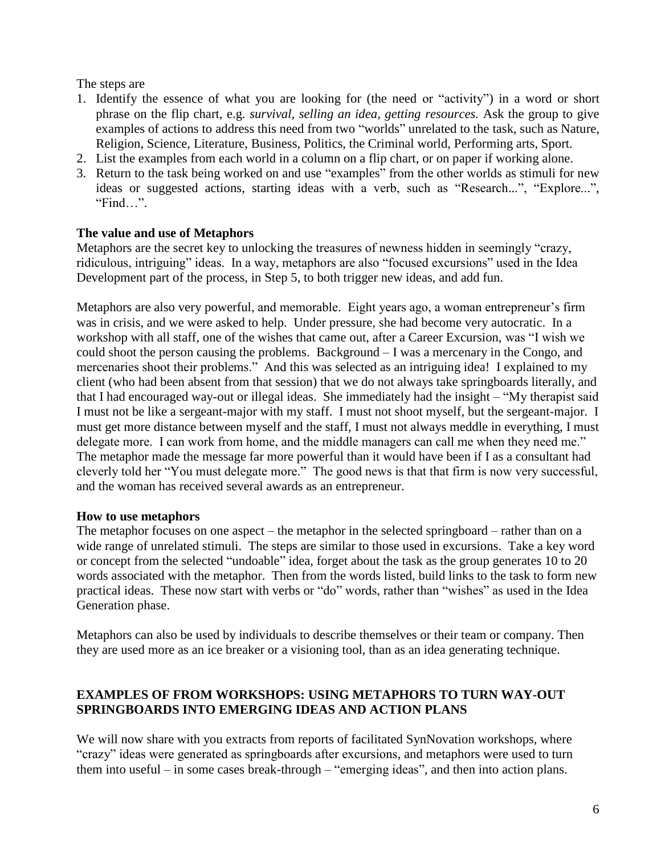The steps are

- 1. Identify the essence of what you are looking for (the need or "activity") in a word or short phrase on the flip chart, e.g. *survival, selling an idea, getting resources.* Ask the group to give examples of actions to address this need from two "worlds" unrelated to the task, such as Nature, Religion, Science, Literature, Business, Politics, the Criminal world, Performing arts, Sport.
- 2. List the examples from each world in a column on a flip chart, or on paper if working alone.
- 3. Return to the task being worked on and use "examples" from the other worlds as stimuli for new ideas or suggested actions, starting ideas with a verb, such as "Research...", "Explore...", "Find…".

### **The value and use of Metaphors**

Metaphors are the secret key to unlocking the treasures of newness hidden in seemingly "crazy, ridiculous, intriguing" ideas. In a way, metaphors are also "focused excursions" used in the Idea Development part of the process, in Step 5, to both trigger new ideas, and add fun.

Metaphors are also very powerful, and memorable. Eight years ago, a woman entrepreneur's firm was in crisis, and we were asked to help. Under pressure, she had become very autocratic. In a workshop with all staff, one of the wishes that came out, after a Career Excursion, was "I wish we could shoot the person causing the problems. Background – I was a mercenary in the Congo, and mercenaries shoot their problems." And this was selected as an intriguing idea! I explained to my client (who had been absent from that session) that we do not always take springboards literally, and that I had encouraged way-out or illegal ideas. She immediately had the insight – "My therapist said I must not be like a sergeant-major with my staff. I must not shoot myself, but the sergeant-major. I must get more distance between myself and the staff, I must not always meddle in everything, I must delegate more. I can work from home, and the middle managers can call me when they need me." The metaphor made the message far more powerful than it would have been if I as a consultant had cleverly told her "You must delegate more." The good news is that that firm is now very successful, and the woman has received several awards as an entrepreneur.

### **How to use metaphors**

The metaphor focuses on one aspect – the metaphor in the selected springboard – rather than on a wide range of unrelated stimuli. The steps are similar to those used in excursions. Take a key word or concept from the selected "undoable" idea, forget about the task as the group generates 10 to 20 words associated with the metaphor. Then from the words listed, build links to the task to form new practical ideas. These now start with verbs or "do" words, rather than "wishes" as used in the Idea Generation phase.

Metaphors can also be used by individuals to describe themselves or their team or company. Then they are used more as an ice breaker or a visioning tool, than as an idea generating technique.

### **EXAMPLES OF FROM WORKSHOPS: USING METAPHORS TO TURN WAY-OUT SPRINGBOARDS INTO EMERGING IDEAS AND ACTION PLANS**

We will now share with you extracts from reports of facilitated SynNovation workshops, where "crazy" ideas were generated as springboards after excursions, and metaphors were used to turn them into useful – in some cases break-through – "emerging ideas", and then into action plans.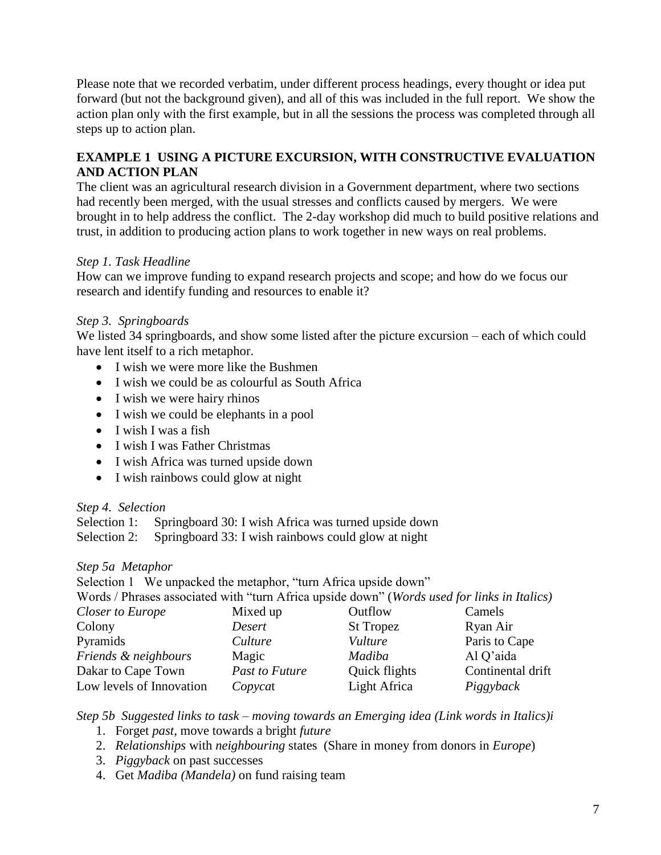Please note that we recorded verbatim, under different process headings, every thought or idea put forward (but not the background given), and all of this was included in the full report. We show the action plan only with the first example, but in all the sessions the process was completed through all steps up to action plan.

# **EXAMPLE 1 USING A PICTURE EXCURSION, WITH CONSTRUCTIVE EVALUATION AND ACTION PLAN**

The client was an agricultural research division in a Government department, where two sections had recently been merged, with the usual stresses and conflicts caused by mergers. We were brought in to help address the conflict. The 2-day workshop did much to build positive relations and trust, in addition to producing action plans to work together in new ways on real problems.

# *Step 1. Task Headline*

How can we improve funding to expand research projects and scope; and how do we focus our research and identify funding and resources to enable it?

# *Step 3. Springboards*

We listed 34 springboards, and show some listed after the picture excursion – each of which could have lent itself to a rich metaphor.

- I wish we were more like the Bushmen
- I wish we could be as colourful as South Africa
- I wish we were hairy rhinos
- I wish we could be elephants in a pool
- $\bullet$  I wish I was a fish
- I wish I was Father Christmas
- I wish Africa was turned upside down
- I wish rainbows could glow at night

### *Step 4. Selection*

Selection 1: Springboard 30: I wish Africa was turned upside down Selection 2: Springboard 33: I wish rainbows could glow at night

### *Step 5a Metaphor*

Selection 1 We unpacked the metaphor, "turn Africa upside down" Words / Phrases associated with "turn Africa upside down" (*Words used for links in Italics) Closer to Europe* Mixed up **Outflow** Camels Colony *Desert* St Tropez Ryan Air

| vesert         | St ropez      | KVan Air          |
|----------------|---------------|-------------------|
| Culture        | Vulture       | Paris to Cape     |
| Magic          | Madiba        | Al Q'aida         |
| Past to Future | Quick flights | Continental drift |
| Copycat        | Light Africa  | Piggyback         |
|                |               |                   |

*Step 5b Suggested links to task – moving towards an Emerging idea (Link words in Italics)i*

- 1. Forget *past*, move towards a bright *future*
- 2. *Relationships* with *neighbouring* states (Share in money from donors in *Europe*)
- 3. *Piggyback* on past successes
- 4. Get *Madiba (Mandela)* on fund raising team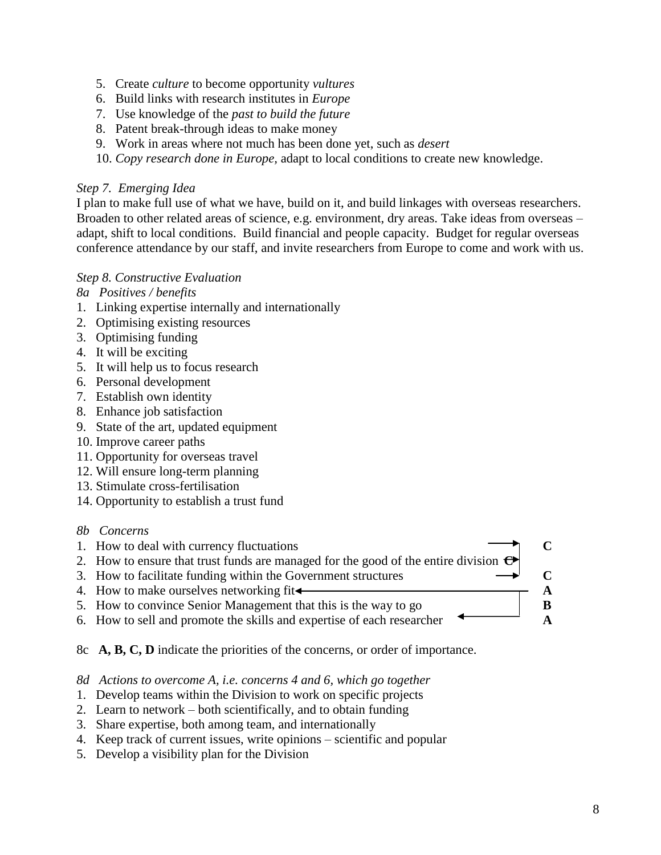- 5. Create *culture* to become opportunity *vultures*
- 6. Build links with research institutes in *Europe*
- 7. Use knowledge of the *past to build the future*
- 8. Patent break-through ideas to make money
- 9. Work in areas where not much has been done yet, such as *desert*
- 10. *Copy research done in Europe,* adapt to local conditions to create new knowledge.

#### *Step 7. Emerging Idea*

I plan to make full use of what we have, build on it, and build linkages with overseas researchers. Broaden to other related areas of science, e.g. environment, dry areas. Take ideas from overseas – adapt, shift to local conditions. Build financial and people capacity. Budget for regular overseas conference attendance by our staff, and invite researchers from Europe to come and work with us.

### *Step 8. Constructive Evaluation*

*8a Positives / benefits*

- 1. Linking expertise internally and internationally
- 2. Optimising existing resources
- 3. Optimising funding
- 4. It will be exciting
- 5. It will help us to focus research
- 6. Personal development
- 7. Establish own identity
- 8. Enhance job satisfaction
- 9. State of the art, updated equipment
- 10. Improve career paths
- 11. Opportunity for overseas travel
- 12. Will ensure long-term planning
- 13. Stimulate cross-fertilisation
- 14. Opportunity to establish a trust fund

#### *8b Concerns*

- 1. How to deal with currency fluctuations **C**
- 2. How to ensure that trust funds are managed for the good of the entire division  $\epsilon$
- 3. How to facilitate funding within the Government structures  $\rightarrow$   $\qquad \qquad \rightarrow$   $\qquad \qquad$   $\qquad \qquad \bullet$
- 4. How to make ourselves networking fit  $\leftarrow$  **A**
- 5. How to convince Senior Management that this is the way to go **B**
- 6. How to sell and promote the skills and expertise of each researcher **A**
- 8c **A, B, C, D** indicate the priorities of the concerns, or order of importance.

*8d Actions to overcome A, i.e. concerns 4 and 6, which go together*

- 1. Develop teams within the Division to work on specific projects
- 2. Learn to network both scientifically, and to obtain funding
- 3. Share expertise, both among team, and internationally
- 4. Keep track of current issues, write opinions scientific and popular
- 5. Develop a visibility plan for the Division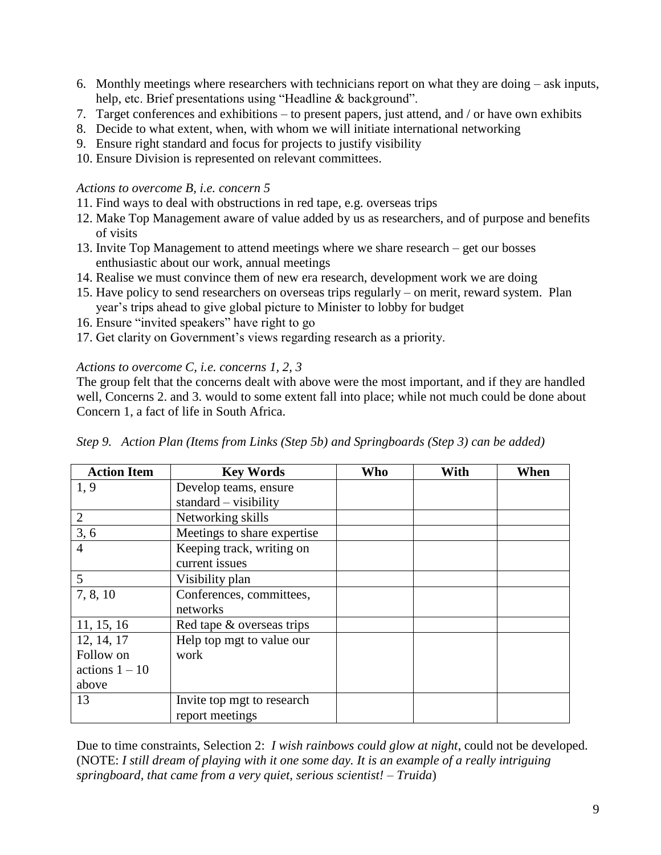- 6. Monthly meetings where researchers with technicians report on what they are doing ask inputs, help, etc. Brief presentations using "Headline & background".
- 7. Target conferences and exhibitions to present papers, just attend, and / or have own exhibits
- 8. Decide to what extent, when, with whom we will initiate international networking
- 9. Ensure right standard and focus for projects to justify visibility
- 10. Ensure Division is represented on relevant committees.

#### *Actions to overcome B, i.e. concern 5*

- 11. Find ways to deal with obstructions in red tape, e.g. overseas trips
- 12. Make Top Management aware of value added by us as researchers, and of purpose and benefits of visits
- 13. Invite Top Management to attend meetings where we share research get our bosses enthusiastic about our work, annual meetings
- 14. Realise we must convince them of new era research, development work we are doing
- 15. Have policy to send researchers on overseas trips regularly on merit, reward system. Plan year's trips ahead to give global picture to Minister to lobby for budget
- 16. Ensure "invited speakers" have right to go
- 17. Get clarity on Government's views regarding research as a priority.

### *Actions to overcome C, i.e. concerns 1, 2, 3*

The group felt that the concerns dealt with above were the most important, and if they are handled well, Concerns 2. and 3. would to some extent fall into place; while not much could be done about Concern 1, a fact of life in South Africa.

| <b>Action Item</b> | <b>Key Words</b>            | Who | With | When |
|--------------------|-----------------------------|-----|------|------|
| 1,9                | Develop teams, ensure       |     |      |      |
|                    | $standard - visibility$     |     |      |      |
| $\overline{2}$     | Networking skills           |     |      |      |
| 3, 6               | Meetings to share expertise |     |      |      |
| $\overline{4}$     | Keeping track, writing on   |     |      |      |
|                    | current issues              |     |      |      |
| 5                  | Visibility plan             |     |      |      |
| 7, 8, 10           | Conferences, committees,    |     |      |      |
|                    | networks                    |     |      |      |
| 11, 15, 16         | Red tape & overseas trips   |     |      |      |
| 12, 14, 17         | Help top mgt to value our   |     |      |      |
| Follow on          | work                        |     |      |      |
| actions $1 - 10$   |                             |     |      |      |
| above              |                             |     |      |      |
| 13                 | Invite top mgt to research  |     |      |      |
|                    | report meetings             |     |      |      |

*Step 9. Action Plan (Items from Links (Step 5b) and Springboards (Step 3) can be added)*

Due to time constraints, Selection 2: *I wish rainbows could glow at night*, could not be developed. (NOTE: *I still dream of playing with it one some day. It is an example of a really intriguing springboard, that came from a very quiet, serious scientist! – Truida*)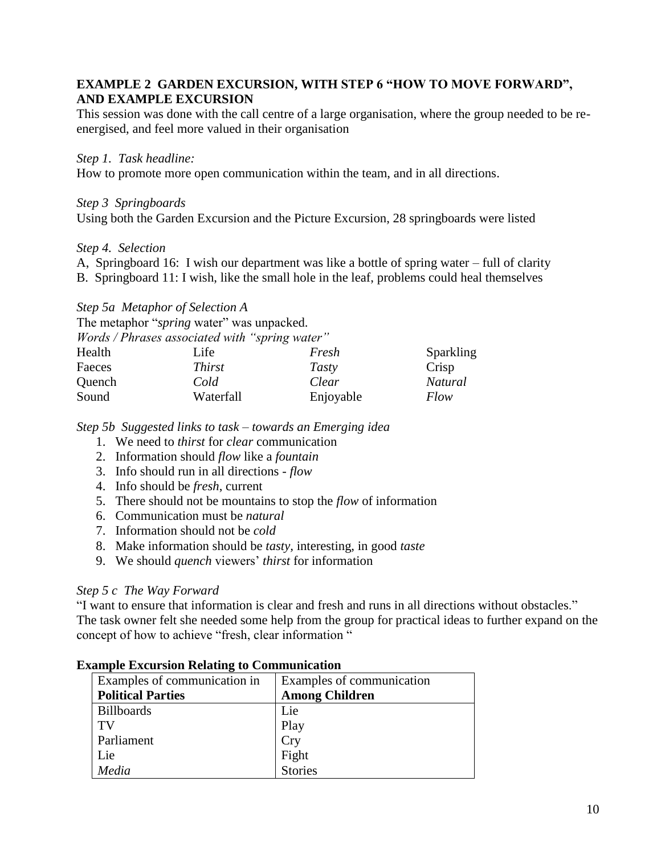### **EXAMPLE 2 GARDEN EXCURSION, WITH STEP 6 "HOW TO MOVE FORWARD", AND EXAMPLE EXCURSION**

This session was done with the call centre of a large organisation, where the group needed to be reenergised, and feel more valued in their organisation

#### *Step 1. Task headline:*

How to promote more open communication within the team, and in all directions.

#### *Step 3 Springboards*

Using both the Garden Excursion and the Picture Excursion, 28 springboards were listed

#### *Step 4. Selection*

A, Springboard 16: I wish our department was like a bottle of spring water – full of clarity

B. Springboard 11: I wish, like the small hole in the leaf, problems could heal themselves

#### *Step 5a Metaphor of Selection A*

The metaphor "*spring* water" was unpacked.

|        | <i>Words / Phrases associated with "spring water"</i> |           |           |
|--------|-------------------------------------------------------|-----------|-----------|
| Health | Life                                                  | Fresh     | Sparkling |
| Faeces | <i>Thirst</i>                                         | Tasty     | Crisp     |
| Quench | Cold                                                  | Clear     | Natural   |
| Sound  | Waterfall                                             | Enjoyable | Flow      |

*Step 5b Suggested links to task – towards an Emerging idea*

- 1. We need to *thirst* for *clear* communication
- 2. Information should *flow* like a *fountain*
- 3. Info should run in all directions *flow*
- 4. Info should be *fresh*, current
- 5. There should not be mountains to stop the *flow* of information
- 6. Communication must be *natural*
- 7. Information should not be *cold*
- 8. Make information should be *tasty,* interesting, in good *taste*
- 9. We should *quench* viewers' *thirst* for information

### *Step 5 c The Way Forward*

"I want to ensure that information is clear and fresh and runs in all directions without obstacles." The task owner felt she needed some help from the group for practical ideas to further expand on the concept of how to achieve "fresh, clear information "

| Examples of communication in | Examples of communication |
|------------------------------|---------------------------|
| <b>Political Parties</b>     | <b>Among Children</b>     |
| <b>Billboards</b>            | Lie                       |
| TV                           | Play                      |
| Parliament                   | <b>Cry</b>                |
| Lie                          | Fight<br>Stories          |
| Media                        |                           |

#### **Example Excursion Relating to Communication**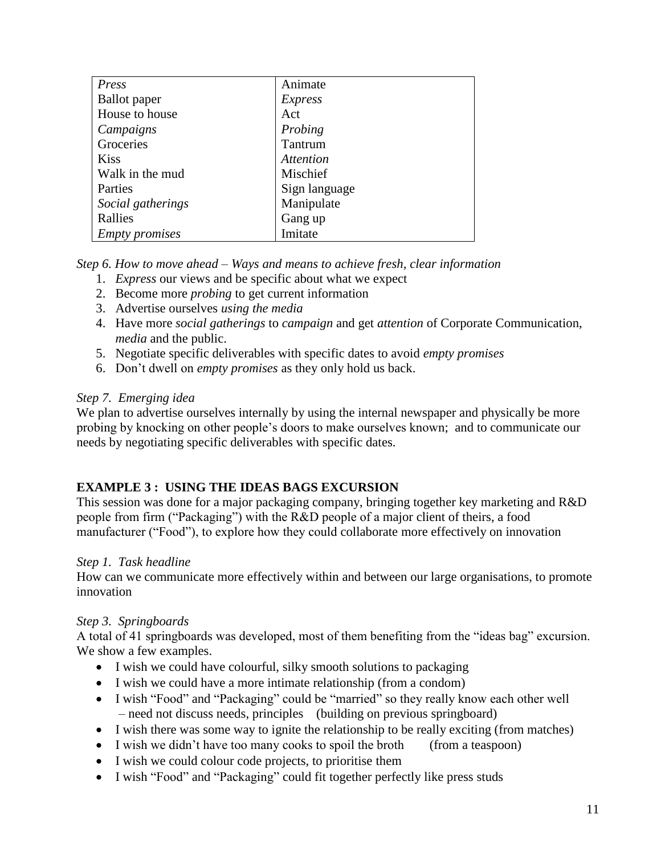| Press                 | Animate          |
|-----------------------|------------------|
| <b>Ballot</b> paper   | <i>Express</i>   |
| House to house        | Act              |
| Campaigns             | Probing          |
| Groceries             | Tantrum          |
| <b>Kiss</b>           | <i>Attention</i> |
| Walk in the mud       | Mischief         |
| Parties               | Sign language    |
| Social gatherings     | Manipulate       |
| Rallies               | Gang up          |
| <b>Empty promises</b> | Imitate          |

*Step 6. How to move ahead – Ways and means to achieve fresh, clear information* 

- 1. *Express* our views and be specific about what we expect
- 2. Become more *probing* to get current information
- 3. Advertise ourselves *using the media*
- 4. Have more *social gatherings* to *campaign* and get *attention* of Corporate Communication, *media* and the public.
- 5. Negotiate specific deliverables with specific dates to avoid *empty promises*
- 6. Don't dwell on *empty promises* as they only hold us back.

# *Step 7. Emerging idea*

We plan to advertise ourselves internally by using the internal newspaper and physically be more probing by knocking on other people's doors to make ourselves known; and to communicate our needs by negotiating specific deliverables with specific dates.

# **EXAMPLE 3 : USING THE IDEAS BAGS EXCURSION**

This session was done for a major packaging company, bringing together key marketing and R&D people from firm ("Packaging") with the R&D people of a major client of theirs, a food manufacturer ("Food"), to explore how they could collaborate more effectively on innovation

# *Step 1. Task headline*

How can we communicate more effectively within and between our large organisations, to promote innovation

# *Step 3. Springboards*

A total of 41 springboards was developed, most of them benefiting from the "ideas bag" excursion. We show a few examples.

- I wish we could have colourful, silky smooth solutions to packaging
- I wish we could have a more intimate relationship (from a condom)
- I wish "Food" and "Packaging" could be "married" so they really know each other well – need not discuss needs, principles (building on previous springboard)
- I wish there was some way to ignite the relationship to be really exciting (from matches)
- I wish we didn't have too many cooks to spoil the broth (from a teaspoon)
- I wish we could colour code projects, to prioritise them
- I wish "Food" and "Packaging" could fit together perfectly like press studs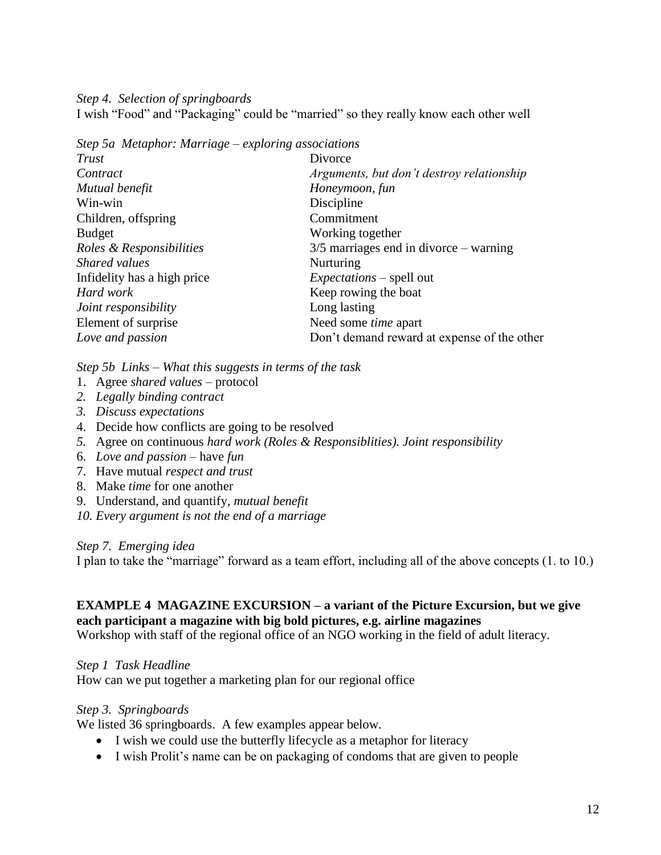*Step 4. Selection of springboards*

I wish "Food" and "Packaging" could be "married" so they really know each other well

*Step 5a Metaphor: Marriage – exploring associations*

| Trust                       | Divorce                                     |
|-----------------------------|---------------------------------------------|
| Contract                    | Arguments, but don't destroy relationship   |
| Mutual benefit              | Honeymoon, fun                              |
| Win-win                     | Discipline                                  |
| Children, offspring         | Commitment                                  |
| <b>Budget</b>               | Working together                            |
| Roles & Responsibilities    | $3/5$ marriages end in divorce – warning    |
| Shared values               | Nurturing                                   |
| Infidelity has a high price | <i>Expectations</i> – spell out             |
| Hard work                   | Keep rowing the boat                        |
| Joint responsibility        | Long lasting                                |
| Element of surprise         | Need some <i>time</i> apart                 |
| Love and passion            | Don't demand reward at expense of the other |
|                             |                                             |

*Step 5b Links – What this suggests in terms of the task*

- 1. Agree *shared values* protocol
- *2. Legally binding contract*
- *3. Discuss expectations*
- 4. Decide how conflicts are going to be resolved
- *5.* Agree on continuous *hard work (Roles & Responsiblities). Joint responsibility*
- 6. *Love and passion* have *fun*
- 7. Have mutual *respect and trust*
- 8. Make *time* for one another
- 9. Understand, and quantify, *mutual benefit*

*10. Every argument is not the end of a marriage*

#### *Step 7. Emerging idea*

I plan to take the "marriage" forward as a team effort, including all of the above concepts (1. to 10.)

#### **EXAMPLE 4 MAGAZINE EXCURSION – a variant of the Picture Excursion, but we give each participant a magazine with big bold pictures, e.g. airline magazines**

Workshop with staff of the regional office of an NGO working in the field of adult literacy.

### *Step 1 Task Headline*

How can we put together a marketing plan for our regional office

### *Step 3. Springboards*

We listed 36 springboards. A few examples appear below.

- I wish we could use the butterfly lifecycle as a metaphor for literacy
- I wish Prolit's name can be on packaging of condoms that are given to people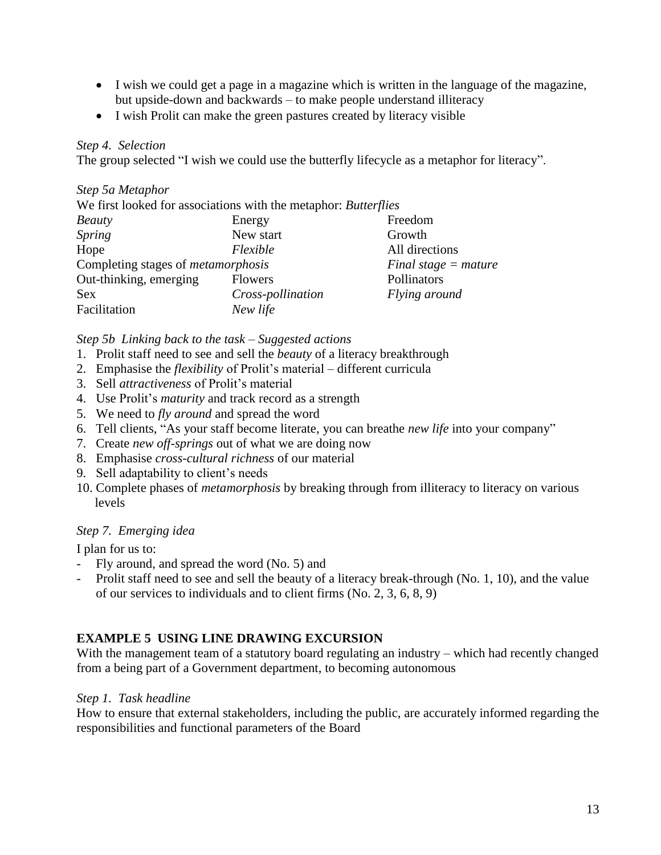- I wish we could get a page in a magazine which is written in the language of the magazine, but upside-down and backwards – to make people understand illiteracy
- I wish Prolit can make the green pastures created by literacy visible

## *Step 4. Selection*

The group selected "I wish we could use the butterfly lifecycle as a metaphor for literacy".

### *Step 5a Metaphor*

| We first looked for associations with the metaphor: Butterflies |                   |                        |  |
|-----------------------------------------------------------------|-------------------|------------------------|--|
| <b>Beauty</b>                                                   | Energy            | Freedom                |  |
| <i>Spring</i>                                                   | New start         | Growth                 |  |
| Hope                                                            | Flexible          | All directions         |  |
| Completing stages of <i>metamorphosis</i>                       |                   | Final stage $=$ mature |  |
| Out-thinking, emerging                                          | <b>Flowers</b>    | Pollinators            |  |
| <b>Sex</b>                                                      | Cross-pollination | Flying around          |  |
| Facilitation                                                    | New life          |                        |  |

### *Step 5b Linking back to the task – Suggested actions*

- 1. Prolit staff need to see and sell the *beauty* of a literacy breakthrough
- 2. Emphasise the *flexibility* of Prolit's material different curricula
- 3. Sell *attractiveness* of Prolit's material
- 4. Use Prolit's *maturity* and track record as a strength
- 5. We need to *fly around* and spread the word
- 6. Tell clients, "As your staff become literate, you can breathe *new life* into your company"
- 7. Create *new off-springs* out of what we are doing now
- 8. Emphasise *cross-cultural richness* of our material
- 9. Sell adaptability to client's needs
- 10. Complete phases of *metamorphosis* by breaking through from illiteracy to literacy on various levels

### *Step 7. Emerging idea*

I plan for us to:

- Fly around, and spread the word (No. 5) and
- Prolit staff need to see and sell the beauty of a literacy break-through (No. 1, 10), and the value of our services to individuals and to client firms (No. 2, 3, 6, 8, 9)

# **EXAMPLE 5 USING LINE DRAWING EXCURSION**

With the management team of a statutory board regulating an industry – which had recently changed from a being part of a Government department, to becoming autonomous

### *Step 1. Task headline*

How to ensure that external stakeholders, including the public, are accurately informed regarding the responsibilities and functional parameters of the Board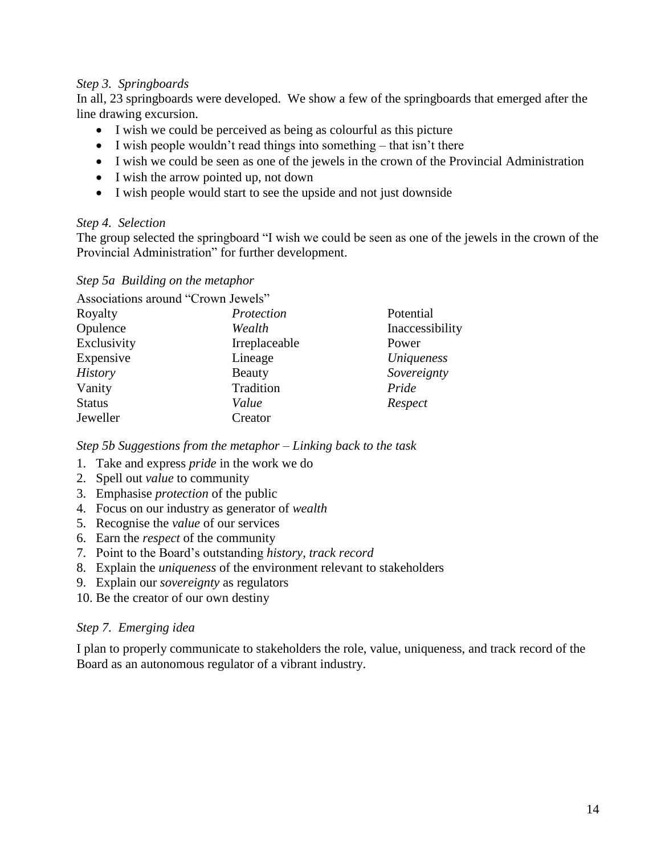### *Step 3. Springboards*

In all, 23 springboards were developed. We show a few of the springboards that emerged after the line drawing excursion.

- I wish we could be perceived as being as colourful as this picture
- $\bullet$  I wish people wouldn't read things into something that isn't there
- I wish we could be seen as one of the jewels in the crown of the Provincial Administration
- I wish the arrow pointed up, not down
- I wish people would start to see the upside and not just downside

### *Step 4. Selection*

The group selected the springboard "I wish we could be seen as one of the jewels in the crown of the Provincial Administration" for further development.

### *Step 5a Building on the metaphor*

| Associations around "Crown Jewels" |               |                 |
|------------------------------------|---------------|-----------------|
| Royalty                            | Protection    | Potential       |
| Opulence                           | Wealth        | Inaccessibility |
| Exclusivity                        | Irreplaceable | Power           |
| Expensive                          | Lineage       | Uniqueness      |
| <b>History</b>                     | Beauty        | Sovereignty     |
| Vanity                             | Tradition     | Pride           |
| <b>Status</b>                      | Value         | Respect         |
| Jeweller                           | Creator       |                 |

*Step 5b Suggestions from the metaphor – Linking back to the task*

- 1. Take and express *pride* in the work we do
- 2. Spell out *value* to community
- 3. Emphasise *protection* of the public
- 4. Focus on our industry as generator of *wealth*
- 5. Recognise the *value* of our services
- 6. Earn the *respect* of the community
- 7. Point to the Board's outstanding *history, track record*
- 8. Explain the *uniqueness* of the environment relevant to stakeholders
- 9. Explain our *sovereignty* as regulators
- 10. Be the creator of our own destiny

### *Step 7. Emerging idea*

I plan to properly communicate to stakeholders the role, value, uniqueness, and track record of the Board as an autonomous regulator of a vibrant industry.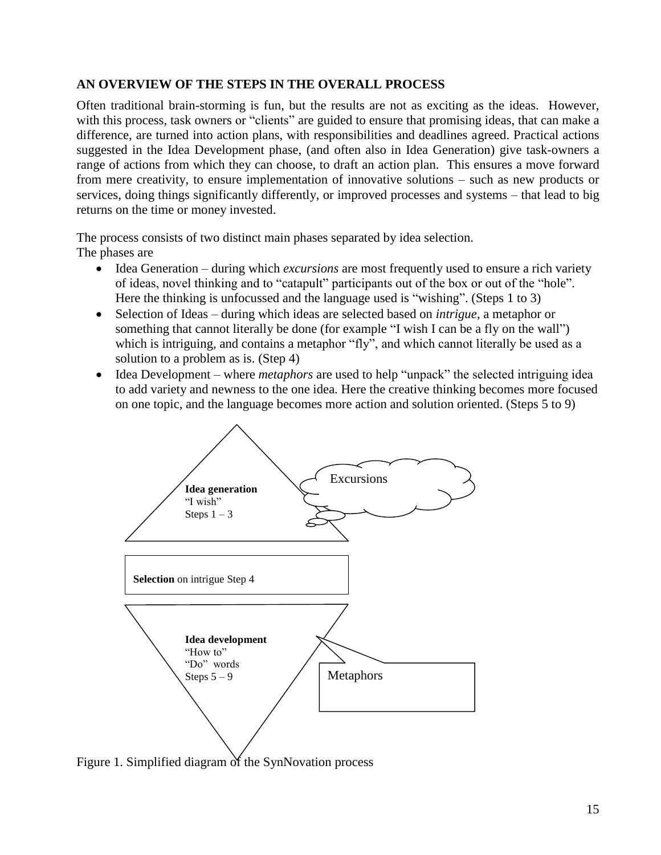# **AN OVERVIEW OF THE STEPS IN THE OVERALL PROCESS**

Often traditional brain-storming is fun, but the results are not as exciting as the ideas. However, with this process, task owners or "clients" are guided to ensure that promising ideas, that can make a difference, are turned into action plans, with responsibilities and deadlines agreed. Practical actions suggested in the Idea Development phase, (and often also in Idea Generation) give task-owners a range of actions from which they can choose, to draft an action plan. This ensures a move forward from mere creativity, to ensure implementation of innovative solutions – such as new products or services, doing things significantly differently, or improved processes and systems – that lead to big returns on the time or money invested.

The process consists of two distinct main phases separated by idea selection.

The phases are

- Idea Generation during which *excursions* are most frequently used to ensure a rich variety of ideas, novel thinking and to "catapult" participants out of the box or out of the "hole". Here the thinking is unfocussed and the language used is "wishing". (Steps 1 to 3)
- Selection of Ideas during which ideas are selected based on *intrigue*, a metaphor or something that cannot literally be done (for example "I wish I can be a fly on the wall") which is intriguing, and contains a metaphor "fly", and which cannot literally be used as a solution to a problem as is. (Step 4)
- Idea Development where *metaphors* are used to help "unpack" the selected intriguing idea to add variety and newness to the one idea. Here the creative thinking becomes more focused on one topic, and the language becomes more action and solution oriented. (Steps 5 to 9)



Figure 1. Simplified diagram of the SynNovation process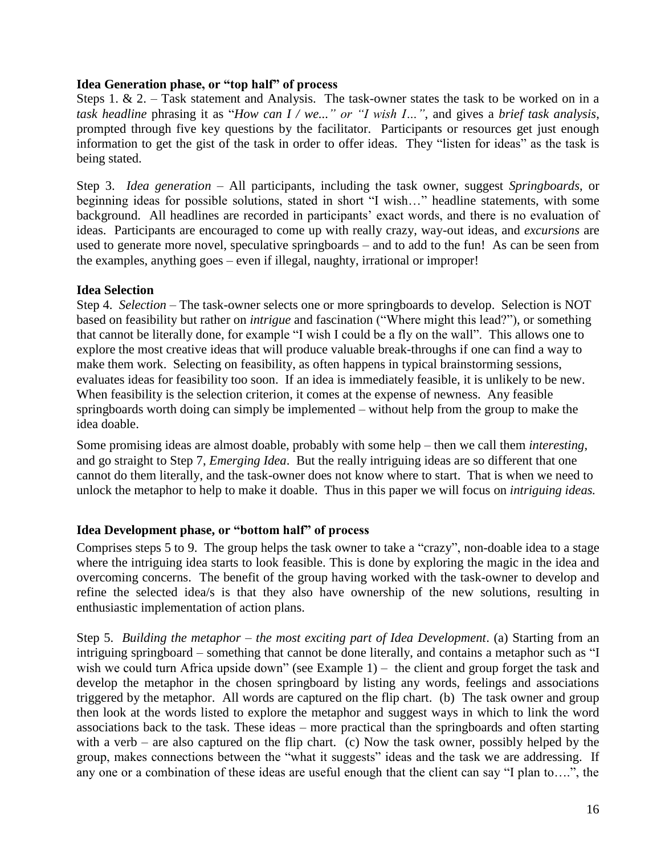### **Idea Generation phase, or "top half" of process**

Steps 1. & 2. – Task statement and Analysis. The task-owner states the task to be worked on in a *task headline* phrasing it as "*How can I / we..." or "I wish I…"*, and gives a *brief task analysis*, prompted through five key questions by the facilitator. Participants or resources get just enough information to get the gist of the task in order to offer ideas. They "listen for ideas" as the task is being stated.

Step 3. *Idea generation* – All participants, including the task owner, suggest *Springboards*, or beginning ideas for possible solutions, stated in short "I wish…" headline statements, with some background. All headlines are recorded in participants' exact words, and there is no evaluation of ideas. Participants are encouraged to come up with really crazy, way-out ideas, and *excursions* are used to generate more novel, speculative springboards – and to add to the fun! As can be seen from the examples, anything goes – even if illegal, naughty, irrational or improper!

### **Idea Selection**

Step 4. *Selection –* The task-owner selects one or more springboards to develop. Selection is NOT based on feasibility but rather on *intrigue* and fascination ("Where might this lead?"), or something that cannot be literally done, for example "I wish I could be a fly on the wall". This allows one to explore the most creative ideas that will produce valuable break-throughs if one can find a way to make them work. Selecting on feasibility, as often happens in typical brainstorming sessions, evaluates ideas for feasibility too soon. If an idea is immediately feasible, it is unlikely to be new. When feasibility is the selection criterion, it comes at the expense of newness. Any feasible springboards worth doing can simply be implemented – without help from the group to make the idea doable.

Some promising ideas are almost doable, probably with some help – then we call them *interesting*, and go straight to Step 7, *Emerging Idea*. But the really intriguing ideas are so different that one cannot do them literally, and the task-owner does not know where to start. That is when we need to unlock the metaphor to help to make it doable. Thus in this paper we will focus on *intriguing ideas.*

### **Idea Development phase, or "bottom half" of process**

Comprises steps 5 to 9. The group helps the task owner to take a "crazy", non-doable idea to a stage where the intriguing idea starts to look feasible. This is done by exploring the magic in the idea and overcoming concerns. The benefit of the group having worked with the task-owner to develop and refine the selected idea/s is that they also have ownership of the new solutions, resulting in enthusiastic implementation of action plans.

Step 5. *Building the metaphor – the most exciting part of Idea Development*. (a) Starting from an intriguing springboard – something that cannot be done literally, and contains a metaphor such as "I wish we could turn Africa upside down" (see Example 1) – the client and group forget the task and develop the metaphor in the chosen springboard by listing any words, feelings and associations triggered by the metaphor. All words are captured on the flip chart. (b) The task owner and group then look at the words listed to explore the metaphor and suggest ways in which to link the word associations back to the task. These ideas – more practical than the springboards and often starting with a verb – are also captured on the flip chart. (c) Now the task owner, possibly helped by the group, makes connections between the "what it suggests" ideas and the task we are addressing. If any one or a combination of these ideas are useful enough that the client can say "I plan to….", the